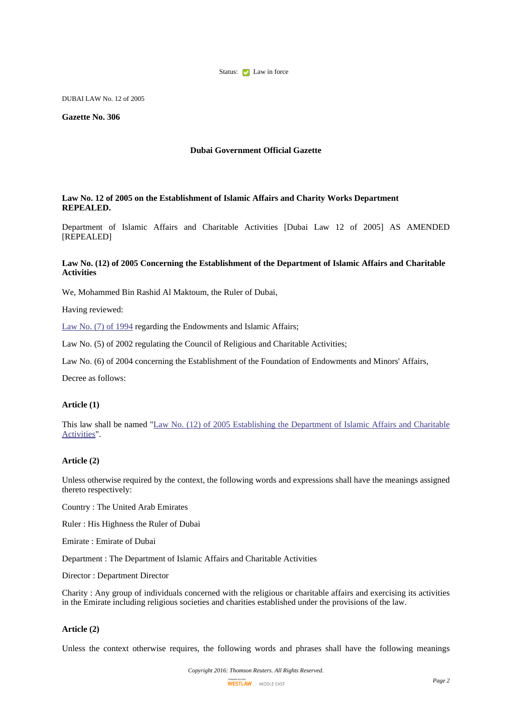

DUBAI LAW No. 12 of 2005

**Gazette No. 306**

## **Dubai Government Official Gazette**

#### **Law No. 12 of 2005 on the Establishment of Islamic Affairs and Charity Works Department REPEALED.**

Department of Islamic Affairs and Charitable Activities [Dubai Law 12 of 2005] AS AMENDED [REPEALED]

# **Law No. (12) of 2005 Concerning the Establishment of the Department of Islamic Affairs and Charitable Activities**

We, Mohammed Bin Rashid Al Maktoum, the Ruler of Dubai,

Having reviewed:

[Law](http://login-middleeast.westlaw.com/maf/app/document?docguid=I8242A23BDEE14821A09EE880FDECE908&startChunk=1&endChunk=2) No. (7) of 1994 regarding the Endowments and Islamic Affairs;

Law No. (5) of 2002 regulating the Council of Religious and Charitable Activities;

Law No. (6) of 2004 concerning the Establishment of the Foundation of Endowments and Minors' Affairs,

Decree as follows:

## **Article (1)**

This law shall be named "Law No. (12) of 2005 [Establishing](http://login-middleeast.westlaw.com/maf/app/document?docguid=I31722982033642D3AED7E1E3F2FA0055&startChunk=1&endChunk=2) the Department of Islamic Affairs and Charitable [Activities"](http://login-middleeast.westlaw.com/maf/app/document?docguid=I31722982033642D3AED7E1E3F2FA0055&startChunk=1&endChunk=2).

### **Article (2)**

Unless otherwise required by the context, the following words and expressions shall have the meanings assigned thereto respectively:

Country : The United Arab Emirates

Ruler : His Highness the Ruler of Dubai

Emirate : Emirate of Dubai

Department : The Department of Islamic Affairs and Charitable Activities

Director : Department Director

Charity : Any group of individuals concerned with the religious or charitable affairs and exercising its activities in the Emirate including religious societies and charities established under the provisions of the law.

### **Article (2)**

Unless the context otherwise requires, the following words and phrases shall have the following meanings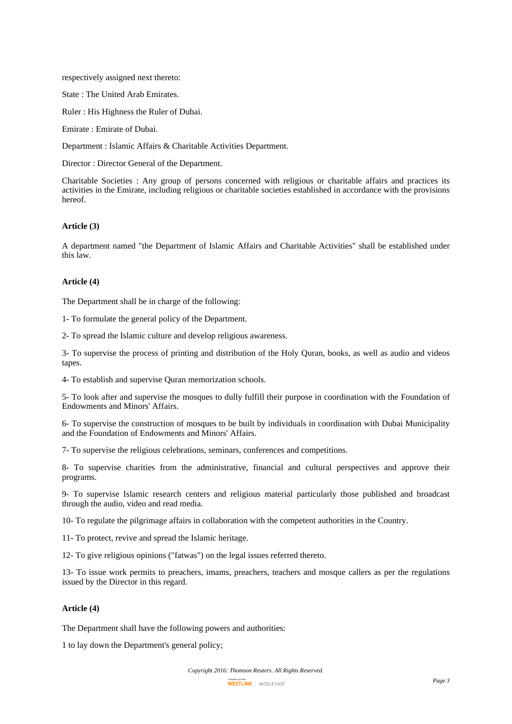respectively assigned next thereto:

State : The United Arab Emirates.

Ruler : His Highness the Ruler of Dubai.

Emirate : Emirate of Dubai.

Department : Islamic Affairs & Charitable Activities Department.

Director : Director General of the Department.

Charitable Societies : Any group of persons concerned with religious or charitable affairs and practices its activities in the Emirate, including religious or charitable societies established in accordance with the provisions hereof.

# **Article (3)**

A department named "the Department of Islamic Affairs and Charitable Activities" shall be established under this law.

#### **Article (4)**

The Department shall be in charge of the following:

1- To formulate the general policy of the Department.

2- To spread the Islamic culture and develop religious awareness.

3- To supervise the process of printing and distribution of the Holy Quran, books, as well as audio and videos tapes.

4- To establish and supervise Quran memorization schools.

5- To look after and supervise the mosques to dully fulfill their purpose in coordination with the Foundation of Endowments and Minors' Affairs.

6- To supervise the construction of mosques to be built by individuals in coordination with Dubai Municipality and the Foundation of Endowments and Minors' Affairs.

7- To supervise the religious celebrations, seminars, conferences and competitions.

8- To supervise charities from the administrative, financial and cultural perspectives and approve their programs.

9- To supervise Islamic research centers and religious material particularly those published and broadcast through the audio, video and read media.

10- To regulate the pilgrimage affairs in collaboration with the competent authorities in the Country.

11- To protect, revive and spread the Islamic heritage.

12- To give religious opinions ("fatwas") on the legal issues referred thereto.

13- To issue work permits to preachers, imams, preachers, teachers and mosque callers as per the regulations issued by the Director in this regard.

# **Article (4)**

The Department shall have the following powers and authorities:

1 to lay down the Department's general policy;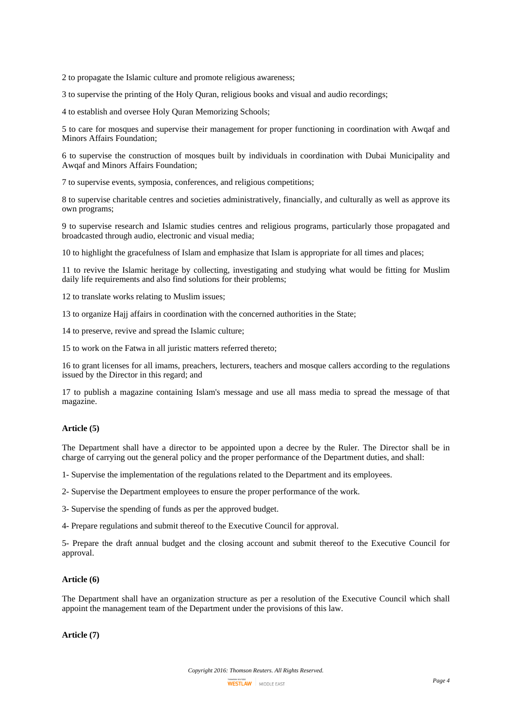2 to propagate the Islamic culture and promote religious awareness;

3 to supervise the printing of the Holy Quran, religious books and visual and audio recordings;

4 to establish and oversee Holy Quran Memorizing Schools;

5 to care for mosques and supervise their management for proper functioning in coordination with Awqaf and Minors Affairs Foundation;

6 to supervise the construction of mosques built by individuals in coordination with Dubai Municipality and Awqaf and Minors Affairs Foundation;

7 to supervise events, symposia, conferences, and religious competitions;

8 to supervise charitable centres and societies administratively, financially, and culturally as well as approve its own programs;

9 to supervise research and Islamic studies centres and religious programs, particularly those propagated and broadcasted through audio, electronic and visual media;

10 to highlight the gracefulness of Islam and emphasize that Islam is appropriate for all times and places;

11 to revive the Islamic heritage by collecting, investigating and studying what would be fitting for Muslim daily life requirements and also find solutions for their problems;

12 to translate works relating to Muslim issues;

13 to organize Hajj affairs in coordination with the concerned authorities in the State;

14 to preserve, revive and spread the Islamic culture;

15 to work on the Fatwa in all juristic matters referred thereto;

16 to grant licenses for all imams, preachers, lecturers, teachers and mosque callers according to the regulations issued by the Director in this regard; and

17 to publish a magazine containing Islam's message and use all mass media to spread the message of that magazine.

## **Article (5)**

The Department shall have a director to be appointed upon a decree by the Ruler. The Director shall be in charge of carrying out the general policy and the proper performance of the Department duties, and shall:

1- Supervise the implementation of the regulations related to the Department and its employees.

2- Supervise the Department employees to ensure the proper performance of the work.

3- Supervise the spending of funds as per the approved budget.

4- Prepare regulations and submit thereof to the Executive Council for approval.

5- Prepare the draft annual budget and the closing account and submit thereof to the Executive Council for approval.

# **Article (6)**

The Department shall have an organization structure as per a resolution of the Executive Council which shall appoint the management team of the Department under the provisions of this law.

**Article (7)**